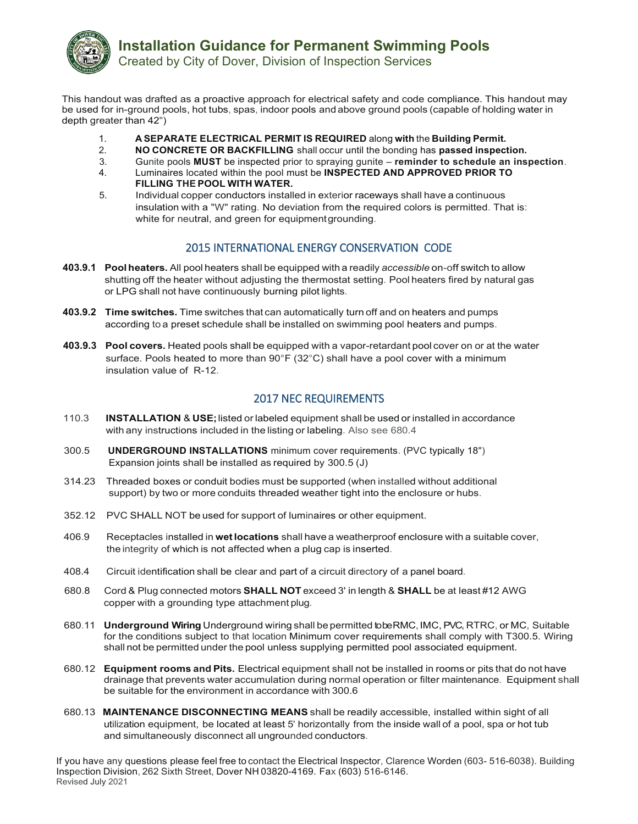

Created by City of Dover, Division of Inspection Services

This handout was drafted as a proactive approach for electrical safety and code compliance. This handout may be used for in-ground pools, hot tubs, spas, indoor pools and above ground pools (capable of holding water in depth greater than 42")

- 1. **A SEPARATE ELECTRICAL PERMIT IS REQUIRED** along **with** the **Building Permit.**
- 2. **NO CONCRETE OR BACKFILLING** shall occur until the bonding has **passed inspection.**
- 3. Gunite pools **MUST** be inspected prior to spraying gunite **reminder to schedule an inspection**.
- 4. Luminaires located within the pool must be **INSPECTED AND APPROVED PRIOR TO FILLING THE POOL WITH WATER.**
- 5. Individual copper conductors installed in exterior raceways shall have a continuous insulation with a "W" rating. No deviation from the required colors is permitted. That is: white for neutral, and green for equipmentgrounding.

## 2015 INTERNATIONAL ENERGY CONSERVATION CODE

- **403.9.1 Poolheaters.** All pool heaters shall be equipped with a readily *accessible* on-off switch to allow shutting off the heater without adjusting the thermostat setting. Pool heaters fired by natural gas or LPG shall not have continuously burning pilot lights.
- **403.9.2 Time switches.** Time switches that can automatically turn off and on heaters and pumps according to a preset schedule shall be installed on swimming pool heaters and pumps.
- **403.9.3 Pool covers.** Heated pools shall be equipped with a vapor-retardant pool cover on or at the water surface. Pools heated to more than  $90^{\circ}$  F (32 $^{\circ}$ C) shall have a pool cover with a minimum insulation value of R-12.

## 2017 NEC REQUIREMENTS

- 110.3 **INSTALLATION** & **USE;**listed or labeled equipment shall be used or installed in accordance with any instructions included in the listing or labeling. Also see 680.4
- 300.5 **UNDERGROUND INSTALLATIONS** minimum cover requirements. (PVC typically 18") Expansion joints shall be installed as required by 300.5 (J)
- 314.23 Threaded boxes or conduit bodies must be supported (when installed without additional support) by two or more conduits threaded weather tight into the enclosure or hubs.
- 352.12 PVC SHALL NOT be used for support of luminaires or other equipment.
- 406.9 Receptacles installed in **wetlocations** shall have a weatherproof enclosure with a suitable cover, the integrity of which is not affected when a plug cap is inserted.
- 408.4 Circuit identification shall be clear and part of a circuit directory of a panel board.
- 680.8 Cord & Plug connected motors **SHALL NOT** exceed 3' in length & **SHALL** be at least #12 AWG copper with a grounding type attachment plug.
- 680.11 **Underground Wiring** Underground wiring shall be permitted to beRMC,IMC, PVC, RTRC, or MC, Suitable for the conditions subject to that location Minimum cover requirements shall comply with T300.5. Wiring shall not be permitted under the pool unless supplying permitted pool associated equipment.
- 680.12 **Equipment rooms and Pits.** Electrical equipment shall not be installed in rooms or pits that do not have drainage that prevents water accumulation during normal operation or filter maintenance. Equipment shall be suitable for the environment in accordance with 300.6
- 680.13 **MAINTENANCE DISCONNECTING MEANS** shall be readily accessible, installed within sight of all utilization equipment, be located at least 5' horizontally from the inside wall of a pool, spa or hot tub and simultaneously disconnect all ungrounded conductors.

If you have any questions please feel free to contact the Electrical Inspector, Clarence Worden (603- 516-6038). Building Inspection Division, 262 Sixth Street, Dover NH 03820-4169. Fax (603) 516-6146. Revised July 2021